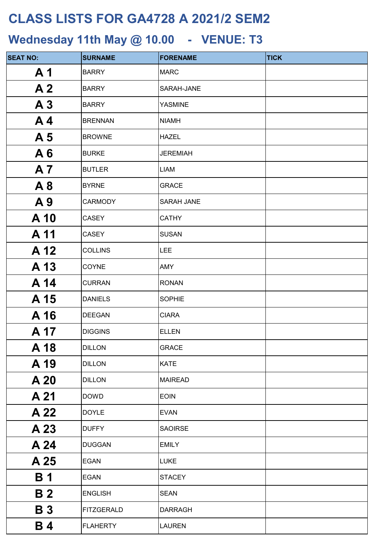| <b>SEAT NO:</b> | <b>SURNAME</b>    | <b>FORENAME</b>   | <b>TICK</b> |
|-----------------|-------------------|-------------------|-------------|
| A <sub>1</sub>  | <b>BARRY</b>      | <b>MARC</b>       |             |
| A <sub>2</sub>  | <b>BARRY</b>      | SARAH-JANE        |             |
| A <sub>3</sub>  | <b>BARRY</b>      | <b>YASMINE</b>    |             |
| A <sub>4</sub>  | <b>BRENNAN</b>    | <b>NIAMH</b>      |             |
| A <sub>5</sub>  | <b>BROWNE</b>     | <b>HAZEL</b>      |             |
| A6              | <b>BURKE</b>      | <b>JEREMIAH</b>   |             |
| <b>A7</b>       | <b>BUTLER</b>     | <b>LIAM</b>       |             |
| A8              | <b>BYRNE</b>      | <b>GRACE</b>      |             |
| A9              | <b>CARMODY</b>    | <b>SARAH JANE</b> |             |
| A 10            | CASEY             | <b>CATHY</b>      |             |
| A 11            | CASEY             | <b>SUSAN</b>      |             |
| A 12            | <b>COLLINS</b>    | <b>LEE</b>        |             |
| A 13            | <b>COYNE</b>      | <b>AMY</b>        |             |
| A 14            | <b>CURRAN</b>     | <b>RONAN</b>      |             |
| A 15            | <b>DANIELS</b>    | <b>SOPHIE</b>     |             |
| A 16            | <b>DEEGAN</b>     | <b>CIARA</b>      |             |
| A 17            | <b>DIGGINS</b>    | <b>ELLEN</b>      |             |
| A 18            | <b>DILLON</b>     | <b>GRACE</b>      |             |
| A 19            | <b>DILLON</b>     | <b>KATE</b>       |             |
| A 20            | <b>DILLON</b>     | <b>MAIREAD</b>    |             |
| A 21            | <b>DOWD</b>       | <b>EOIN</b>       |             |
| A 22            | <b>DOYLE</b>      | <b>EVAN</b>       |             |
| A 23            | <b>DUFFY</b>      | <b>SAOIRSE</b>    |             |
| A 24            | <b>DUGGAN</b>     | <b>EMILY</b>      |             |
| A 25            | <b>EGAN</b>       | <b>LUKE</b>       |             |
| <b>B</b> 1      | <b>EGAN</b>       | <b>STACEY</b>     |             |
| <b>B2</b>       | <b>ENGLISH</b>    | <b>SEAN</b>       |             |
| <b>B3</b>       | <b>FITZGERALD</b> | <b>DARRAGH</b>    |             |
| <b>B4</b>       | <b>FLAHERTY</b>   | <b>LAUREN</b>     |             |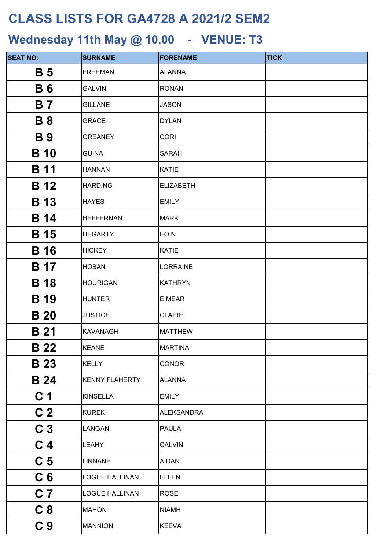| <b>SEAT NO:</b>       | <b>SURNAME</b>        | <b>FORENAME</b>   | <b>TICK</b> |
|-----------------------|-----------------------|-------------------|-------------|
| <b>B</b> 5            | <b>FREEMAN</b>        | <b>ALANNA</b>     |             |
| <b>B6</b>             | <b>GALVIN</b>         | <b>RONAN</b>      |             |
| <b>B</b> 7            | <b>GILLANE</b>        | <b>JASON</b>      |             |
| <b>B</b> 8            | <b>GRACE</b>          | <b>DYLAN</b>      |             |
| <b>B</b> <sub>9</sub> | <b>GREANEY</b>        | <b>CORI</b>       |             |
| <b>B</b> 10           | <b>GUINA</b>          | <b>SARAH</b>      |             |
| <b>B</b> 11           | <b>HANNAN</b>         | <b>KATIE</b>      |             |
| <b>B</b> 12           | <b>HARDING</b>        | <b>ELIZABETH</b>  |             |
| <b>B</b> 13           | <b>HAYES</b>          | <b>EMILY</b>      |             |
| <b>B</b> 14           | <b>HEFFERNAN</b>      | <b>MARK</b>       |             |
| <b>B</b> 15           | <b>HEGARTY</b>        | <b>EOIN</b>       |             |
| <b>B</b> 16           | <b>HICKEY</b>         | <b>KATIE</b>      |             |
| B 17                  | <b>HOBAN</b>          | <b>LORRAINE</b>   |             |
| <b>B</b> 18           | <b>HOURIGAN</b>       | <b>KATHRYN</b>    |             |
| <b>B</b> 19           | <b>HUNTER</b>         | <b>EIMEAR</b>     |             |
| <b>B</b> 20           | <b>JUSTICE</b>        | <b>CLAIRE</b>     |             |
| <b>B</b> 21           | <b>KAVANAGH</b>       | <b>MATTHEW</b>    |             |
| <b>B</b> 22           | <b>KEANE</b>          | <b>MARTINA</b>    |             |
| <b>B</b> 23           | <b>KELLY</b>          | <b>CONOR</b>      |             |
| <b>B</b> 24           | <b>KENNY FLAHERTY</b> | <b>ALANNA</b>     |             |
| C <sub>1</sub>        | <b>KINSELLA</b>       | <b>EMILY</b>      |             |
| C <sub>2</sub>        | <b>KUREK</b>          | <b>ALEKSANDRA</b> |             |
| C <sub>3</sub>        | LANGAN                | <b>PAULA</b>      |             |
| C <sub>4</sub>        | <b>LEAHY</b>          | <b>CALVIN</b>     |             |
| C <sub>5</sub>        | <b>LINNANE</b>        | <b>AIDAN</b>      |             |
| C <sub>6</sub>        | <b>LOGUE HALLINAN</b> | <b>ELLEN</b>      |             |
| C <sub>7</sub>        | <b>LOGUE HALLINAN</b> | <b>ROSE</b>       |             |
| C <sub>8</sub>        | <b>MAHON</b>          | <b>NIAMH</b>      |             |
| C <sub>9</sub>        | <b>MANNION</b>        | <b>KEEVA</b>      |             |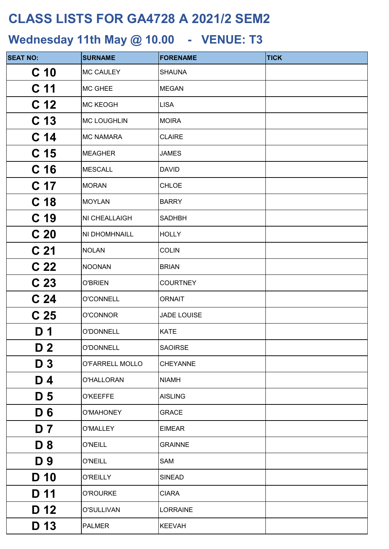| <b>SEAT NO:</b> | <b>SURNAME</b>     | <b>FORENAME</b> | <b>TICK</b> |
|-----------------|--------------------|-----------------|-------------|
| C <sub>10</sub> | <b>MC CAULEY</b>   | <b>SHAUNA</b>   |             |
| C <sub>11</sub> | <b>MC GHEE</b>     | <b>MEGAN</b>    |             |
| C <sub>12</sub> | <b>MC KEOGH</b>    | <b>LISA</b>     |             |
| C <sub>13</sub> | <b>MC LOUGHLIN</b> | <b>MOIRA</b>    |             |
| C <sub>14</sub> | <b>MC NAMARA</b>   | <b>CLAIRE</b>   |             |
| C <sub>15</sub> | <b>MEAGHER</b>     | <b>JAMES</b>    |             |
| C <sub>16</sub> | <b>MESCALL</b>     | <b>DAVID</b>    |             |
| C <sub>17</sub> | <b>MORAN</b>       | <b>CHLOE</b>    |             |
| C <sub>18</sub> | <b>MOYLAN</b>      | <b>BARRY</b>    |             |
| C <sub>19</sub> | NI CHEALLAIGH      | <b>SADHBH</b>   |             |
| C <sub>20</sub> | NI DHOMHNAILL      | <b>HOLLY</b>    |             |
| C <sub>21</sub> | <b>NOLAN</b>       | <b>COLIN</b>    |             |
| C <sub>22</sub> | <b>NOONAN</b>      | <b>BRIAN</b>    |             |
| C <sub>23</sub> | <b>O'BRIEN</b>     | <b>COURTNEY</b> |             |
| C <sub>24</sub> | <b>O'CONNELL</b>   | <b>ORNAIT</b>   |             |
| C <sub>25</sub> | O'CONNOR           | JADE LOUISE     |             |
| D 1             | O'DONNELL          | <b>KATE</b>     |             |
| D <sub>2</sub>  | O'DONNELL          | <b>SAOIRSE</b>  |             |
| D <sub>3</sub>  | O'FARRELL MOLLO    | <b>CHEYANNE</b> |             |
| D 4             | O'HALLORAN         | <b>NIAMH</b>    |             |
| D <sub>5</sub>  | <b>O'KEEFFE</b>    | <b>AISLING</b>  |             |
| D <sub>6</sub>  | O'MAHONEY          | <b>GRACE</b>    |             |
| D 7             | O'MALLEY           | <b>EIMEAR</b>   |             |
| <b>D</b> 8      | <b>O'NEILL</b>     | <b>GRAINNE</b>  |             |
| D 9             | <b>O'NEILL</b>     | SAM             |             |
| D 10            | <b>O'REILLY</b>    | <b>SINEAD</b>   |             |
| D 11            | <b>O'ROURKE</b>    | <b>CIARA</b>    |             |
| D 12            | O'SULLIVAN         | <b>LORRAINE</b> |             |
| D 13            | <b>PALMER</b>      | <b>KEEVAH</b>   |             |